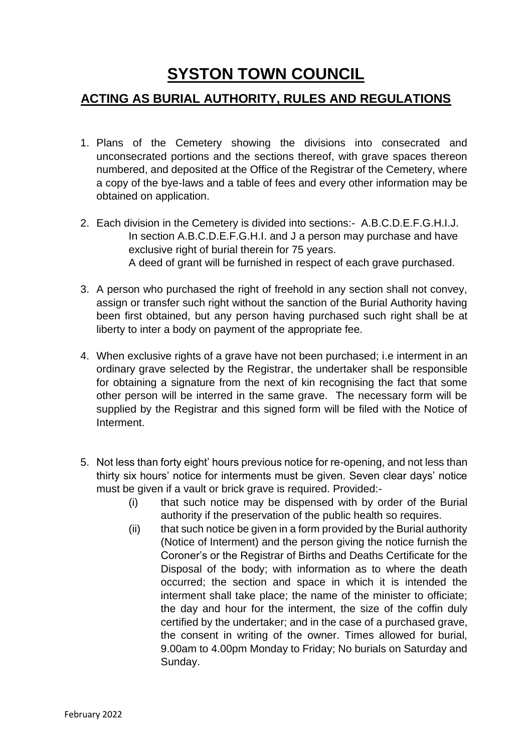## **SYSTON TOWN COUNCIL**

## **ACTING AS BURIAL AUTHORITY, RULES AND REGULATIONS**

- 1. Plans of the Cemetery showing the divisions into consecrated and unconsecrated portions and the sections thereof, with grave spaces thereon numbered, and deposited at the Office of the Registrar of the Cemetery, where a copy of the bye-laws and a table of fees and every other information may be obtained on application.
- 2. Each division in the Cemetery is divided into sections:- A.B.C.D.E.F.G.H.I.J. In section A.B.C.D.E.F.G.H.I. and J a person may purchase and have exclusive right of burial therein for 75 years. A deed of grant will be furnished in respect of each grave purchased.
- 3. A person who purchased the right of freehold in any section shall not convey, assign or transfer such right without the sanction of the Burial Authority having been first obtained, but any person having purchased such right shall be at liberty to inter a body on payment of the appropriate fee.
- 4. When exclusive rights of a grave have not been purchased; i.e interment in an ordinary grave selected by the Registrar, the undertaker shall be responsible for obtaining a signature from the next of kin recognising the fact that some other person will be interred in the same grave. The necessary form will be supplied by the Registrar and this signed form will be filed with the Notice of Interment.
- 5. Not less than forty eight' hours previous notice for re-opening, and not less than thirty six hours' notice for interments must be given. Seven clear days' notice must be given if a vault or brick grave is required. Provided:-
	- (i) that such notice may be dispensed with by order of the Burial authority if the preservation of the public health so requires.
	- (ii) that such notice be given in a form provided by the Burial authority (Notice of Interment) and the person giving the notice furnish the Coroner's or the Registrar of Births and Deaths Certificate for the Disposal of the body; with information as to where the death occurred; the section and space in which it is intended the interment shall take place; the name of the minister to officiate; the day and hour for the interment, the size of the coffin duly certified by the undertaker; and in the case of a purchased grave, the consent in writing of the owner. Times allowed for burial, 9.00am to 4.00pm Monday to Friday; No burials on Saturday and Sunday.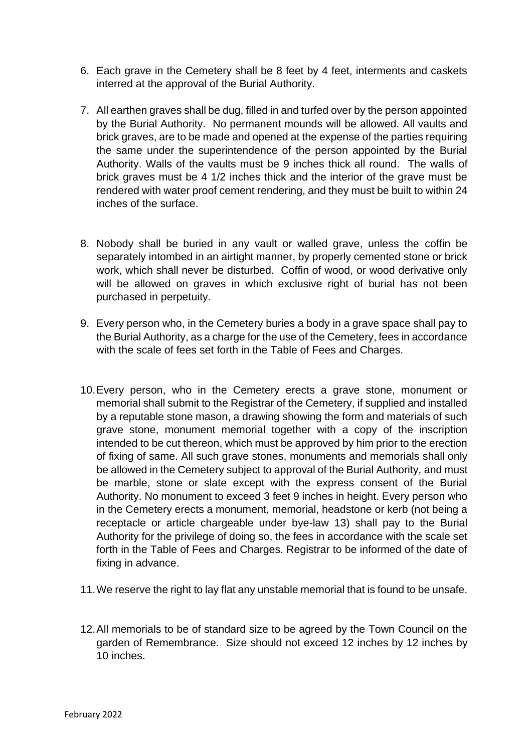- 6. Each grave in the Cemetery shall be 8 feet by 4 feet, interments and caskets interred at the approval of the Burial Authority.
- 7. All earthen graves shall be dug, filled in and turfed over by the person appointed by the Burial Authority. No permanent mounds will be allowed. All vaults and brick graves, are to be made and opened at the expense of the parties requiring the same under the superintendence of the person appointed by the Burial Authority. Walls of the vaults must be 9 inches thick all round. The walls of brick graves must be 4 1/2 inches thick and the interior of the grave must be rendered with water proof cement rendering, and they must be built to within 24 inches of the surface.
- 8. Nobody shall be buried in any vault or walled grave, unless the coffin be separately intombed in an airtight manner, by properly cemented stone or brick work, which shall never be disturbed. Coffin of wood, or wood derivative only will be allowed on graves in which exclusive right of burial has not been purchased in perpetuity.
- 9. Every person who, in the Cemetery buries a body in a grave space shall pay to the Burial Authority, as a charge for the use of the Cemetery, fees in accordance with the scale of fees set forth in the Table of Fees and Charges.
- 10.Every person, who in the Cemetery erects a grave stone, monument or memorial shall submit to the Registrar of the Cemetery, if supplied and installed by a reputable stone mason, a drawing showing the form and materials of such grave stone, monument memorial together with a copy of the inscription intended to be cut thereon, which must be approved by him prior to the erection of fixing of same. All such grave stones, monuments and memorials shall only be allowed in the Cemetery subject to approval of the Burial Authority, and must be marble, stone or slate except with the express consent of the Burial Authority. No monument to exceed 3 feet 9 inches in height. Every person who in the Cemetery erects a monument, memorial, headstone or kerb (not being a receptacle or article chargeable under bye-law 13) shall pay to the Burial Authority for the privilege of doing so, the fees in accordance with the scale set forth in the Table of Fees and Charges. Registrar to be informed of the date of fixing in advance.
- 11.We reserve the right to lay flat any unstable memorial that is found to be unsafe.
- 12.All memorials to be of standard size to be agreed by the Town Council on the garden of Remembrance. Size should not exceed 12 inches by 12 inches by 10 inches.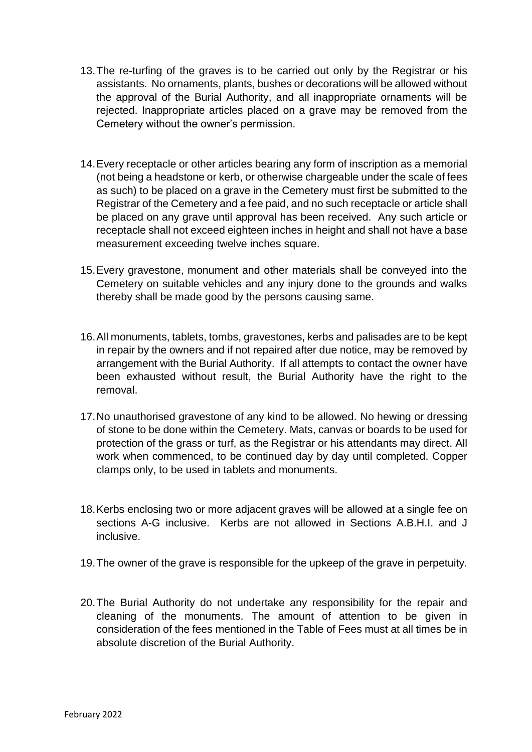- 13.The re-turfing of the graves is to be carried out only by the Registrar or his assistants. No ornaments, plants, bushes or decorations will be allowed without the approval of the Burial Authority, and all inappropriate ornaments will be rejected. Inappropriate articles placed on a grave may be removed from the Cemetery without the owner's permission.
- 14.Every receptacle or other articles bearing any form of inscription as a memorial (not being a headstone or kerb, or otherwise chargeable under the scale of fees as such) to be placed on a grave in the Cemetery must first be submitted to the Registrar of the Cemetery and a fee paid, and no such receptacle or article shall be placed on any grave until approval has been received. Any such article or receptacle shall not exceed eighteen inches in height and shall not have a base measurement exceeding twelve inches square.
- 15.Every gravestone, monument and other materials shall be conveyed into the Cemetery on suitable vehicles and any injury done to the grounds and walks thereby shall be made good by the persons causing same.
- 16.All monuments, tablets, tombs, gravestones, kerbs and palisades are to be kept in repair by the owners and if not repaired after due notice, may be removed by arrangement with the Burial Authority. If all attempts to contact the owner have been exhausted without result, the Burial Authority have the right to the removal.
- 17.No unauthorised gravestone of any kind to be allowed. No hewing or dressing of stone to be done within the Cemetery. Mats, canvas or boards to be used for protection of the grass or turf, as the Registrar or his attendants may direct. All work when commenced, to be continued day by day until completed. Copper clamps only, to be used in tablets and monuments.
- 18.Kerbs enclosing two or more adjacent graves will be allowed at a single fee on sections A-G inclusive. Kerbs are not allowed in Sections A.B.H.I. and J inclusive.
- 19.The owner of the grave is responsible for the upkeep of the grave in perpetuity.
- 20.The Burial Authority do not undertake any responsibility for the repair and cleaning of the monuments. The amount of attention to be given in consideration of the fees mentioned in the Table of Fees must at all times be in absolute discretion of the Burial Authority.